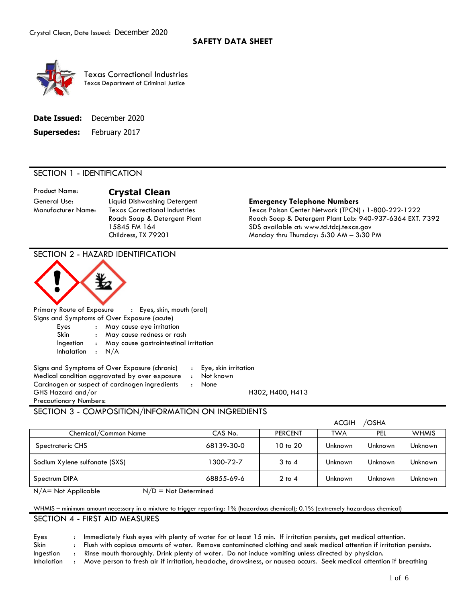

 Texas Department of Criminal Justice Texas Correctional Industries

| <b>Date Issued:</b> | December 2020 |
|---------------------|---------------|
|---------------------|---------------|

**Supersedes:** February 2017

# SECTION 1 - IDENTIFICATION

# Product Name: **Crystal Clean**

# General Use: Liquid Dishwashing Detergent **Emergency Telephone Numbers**

Manufacturer Name: Texas Correctional Industries Texas Poison Center Network (TPCN) : 1-800-222-1222 Roach Soap & Detergent Plant Roach Soap & Detergent Plant Lab: 940-937-6364 EXT. 7392 15845 FM 164 SDS available at: <www.tci.tdcj.texas.gov> Childress, TX 79201 Monday thru Thursday: 5:30 AM – 3:30 PM

ACGIH /OSHA

|        | Primary Route of Exposure | : Eyes, skin, mouth (oral) |
|--------|---------------------------|----------------------------|
| $\sim$ |                           |                            |

Signs and Symptoms of Over Exposure (acute)

SECTION 2 - HAZARD IDENTIFICATION

- Eyes : May cause eye irritation
- Skin : May cause redness or rash
- Ingestion : May cause gastrointestinal irritation
- Inhalation : N/A

Signs and Symptoms of Over Exposure (chronic) : Eye, skin irritation Medical condition aggravated by over exposure : Not known Carcinogen or suspect of carcinogen ingredients : None GHS Hazard and/or **H302, H400, H413** Precautionary Numbers:

# SECTION 3 - COMPOSITION/INFORMATION ON INGREDIENTS

|                               |            |                                  | AUVIN   | אחכ∪ ⁄  |              |
|-------------------------------|------------|----------------------------------|---------|---------|--------------|
| Chemical/Common Name          | CAS No.    | <b>PERCENT</b>                   | TWA     | PEL     | <b>WHMIS</b> |
| Spectrateric CHS              | 68139-30-0 | 10 <sub>to</sub> 20 <sub>0</sub> | Unknown | Unknown | Unknown      |
| Sodium Xylene sulfonate (SXS) | 1300-72-7  | $3$ to $4$                       | Unknown | Unknown | Unknown      |
| Spectrum DIPA                 | 68855-69-6 | $2$ to $4$                       | Unknown | Unknown | Unknown      |
|                               |            |                                  |         |         |              |

 $N/A$  = Not Applicable  $N/D$  = Not Determined

# WHMIS – minimum amount necessary in a mixture to trigger reporting: 1% (hazardous chemical); 0.1% (extremely hazardous chemical)

# SECTION 4 - FIRST AID MEASURES

Eyes : Immediately flush eyes with plenty of water for at least 15 min. If irritation persists, get medical attention.

Skin : Flush with copious amounts of water. Remove contaminated clothing and seek medical attention if irritation persists.

Ingestion : Rinse mouth thoroughly. Drink plenty of water. Do not induce vomiting unless directed by physician.

Inhalation : Move person to fresh air if irritation, headache, drowsiness, or nausea occurs. Seek medical attention if breathing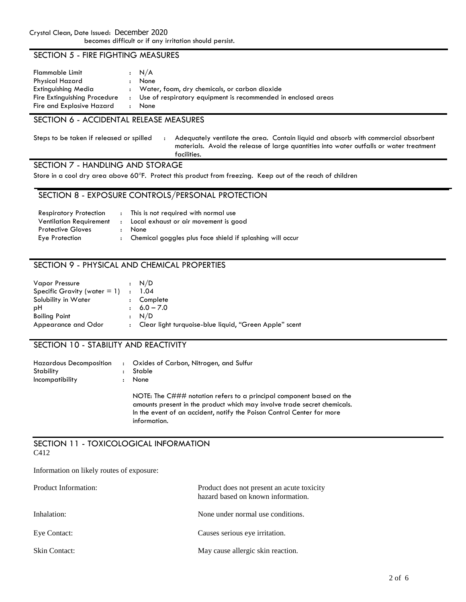# SECTION 5 - FIRE FIGHTING MEASURES

| Flammable Limit<br><b>Physical Hazard</b>                 |                      | $\cdot$ N/A<br>None                                                   |
|-----------------------------------------------------------|----------------------|-----------------------------------------------------------------------|
| Extinguishing Media                                       |                      | : Water, foam, dry chemicals, or carbon dioxide                       |
| Fire Extinguishing Procedure<br>Fire and Explosive Hazard | $\ddot{\phantom{a}}$ | Use of respiratory equipment is recommended in enclosed areas<br>None |

# SECTION 6 - ACCIDENTAL RELEASE MEASURES

Steps to be taken if released or spilled : Adequately ventilate the area. Contain liquid and absorb with commercial absorbent materials. Avoid the release of large quantities into water outfalls or water treatment facilities.

# SECTION 7 - HANDLING AND STORAGE

Store in a cool dry area above 60°F. Protect this product from freezing. Keep out of the reach of children

## SECTION 8 - EXPOSURE CONTROLS/PERSONAL PROTECTION

| This is not required with normal use                        |
|-------------------------------------------------------------|
| : Local exhaust or air movement is good                     |
| None                                                        |
| : Chemical goggles plus face shield if splashing will occur |
|                                                             |

# SECTION 9 - PHYSICAL AND CHEMICAL PROPERTIES

| <b>Vapor Pressure</b>                  |                      | : N/D                                                    |
|----------------------------------------|----------------------|----------------------------------------------------------|
| Specific Gravity (water $= 1$ ) : 1.04 |                      |                                                          |
| Solubility in Water                    | $\ddot{\phantom{a}}$ | Complete                                                 |
| рH                                     |                      | $\pm 6.0 - 7.0$                                          |
| <b>Boiling Point</b>                   |                      | : N/D                                                    |
| Appearance and Odor                    |                      | : Clear light turquoise-blue liquid, "Green Apple" scent |

# SECTION 10 - STABILITY AND REACTIVITY

| Hazardous Decomposition<br>Stability<br>Incompatibility | : Oxides of Carbon, Nitrogen, and Sulfur<br>Stable<br>None                                                                                                                                                                 |
|---------------------------------------------------------|----------------------------------------------------------------------------------------------------------------------------------------------------------------------------------------------------------------------------|
|                                                         | NOTE: The C### notation refers to a principal component based on the<br>amounts present in the product which may involve trade secret chemicals.<br>In the event of an accident, notify the Poison Control Center for more |

#### SECTION 11 - TOXICOLOGICAL INFORMATION C412

information.

Information on likely routes of exposure:

| Product Information: | Product does not present an acute toxicity<br>hazard based on known information. |
|----------------------|----------------------------------------------------------------------------------|
| Inhalation:          | None under normal use conditions.                                                |
| Eye Contact:         | Causes serious eye irritation.                                                   |
| Skin Contact:        | May cause allergic skin reaction.                                                |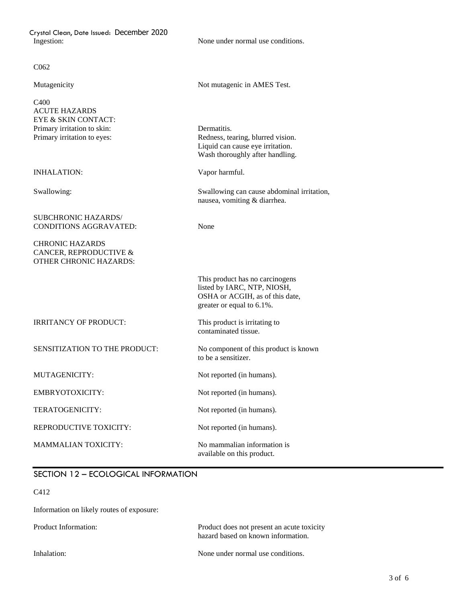Crystal Clean, Date Issued: December 2020 Ingestion: None under normal use conditions.

#### C<sub>062</sub>

 EYE & SKIN CONTACT: Primary irritation to skin: Dermatitis. Primary irritation to eyes: C400 ACUTE HAZARDS

INHALATION: Vapor harmful.

#### SUBCHRONIC HAZARDS/ CONDITIONS AGGRAVATED: None

#### CANCER, REPRODUCTIVE & OTHER CHRONIC HAZARDS: CHRONIC HAZARDS

Mutagenicity Not mutagenic in AMES Test.

 Liquid can cause eye irritation. Wash thoroughly after handling. Redness, tearing, blurred vision.

Swallowing: Swallowing can cause abdominal irritation, nausea, vomiting & diarrhea.

 This product has no carcinogens listed by IARC, NTP, NIOSH, OSHA or ACGIH, as of this date, greater or equal to 6.1%.

This product is irritating to IRRITANCY OF PRODUCT: contaminated tissue.

 SENSITIZATION TO THE PRODUCT: No component of this product is known to be a sensitizer.

MUTAGENICITY: Not reported (in humans).

EMBRYOTOXICITY: Not reported (in humans).

TERATOGENICITY: Not reported (in humans).

available on this product.

REPRODUCTIVE TOXICITY: Not reported (in humans).

MAMMALIAN TOXICITY: No mammalian information is

# SECTION 12 – ECOLOGICAL INFORMATION

#### C412

Information on likely routes of exposure:

 hazard based on known information. Product Information: Product does not present an acute toxicity

Inhalation: None under normal use conditions.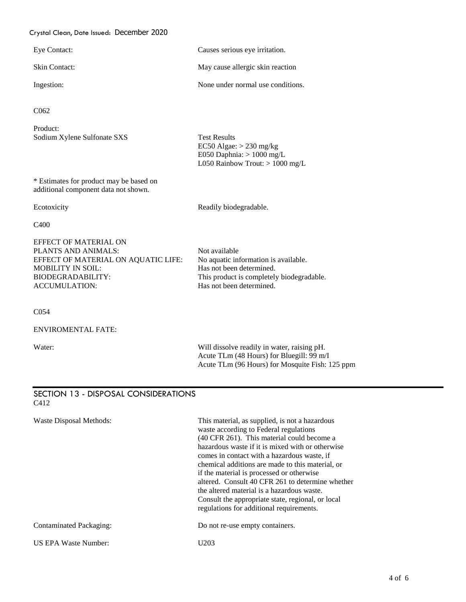### Crystal Clean, Date Issued: December 2020

| Eye Contact:         | Causes serious eye irritation.    |
|----------------------|-----------------------------------|
| <b>Skin Contact:</b> | May cause allergic skin reaction  |
| Ingestion:           | None under normal use conditions. |

C062

Product: Sodium Xylene Sulfonate SXS Test Results

 \* Estimates for product may be based on additional component data not shown.

Ecotoxicity **Readily biodegradable.** 

EC50 Algae: > 230 mg/kg

E050 Daphnia:  $> 1000$  mg/L

L050 Rainbow Trout: > 1000 mg/L

C400

 EFFECT OF MATERIAL ON EFFECT OF MATERIAL ON AQUATIC LIFE: No aquatic information is available. BIODEGRADABILITY: This product is completely biodegradable. PLANTS AND ANIMALS:<br>
EFFECT OF MATERIAL ON AQUATIC LIFE: No aquatic information is available. MOBILITY IN SOIL: Has not been determined. ACCUMULATION: Has not been determined.

C054

ENVIROMENTAL FATE:

Water: **Will dissolve readily in water**, raising pH. Acute TLm (48 Hours) for Bluegill: 99 m/I Acute TLm (96 Hours) for Mosquite Fish: 125 ppm

#### SECTION 13 - DISPOSAL CONSIDERATIONS C412

| Waste Disposal Methods: | This material, as supplied, is not a hazardous<br>waste according to Federal regulations<br>(40 CFR 261). This material could become a<br>hazardous waste if it is mixed with or otherwise<br>comes in contact with a hazardous waste, if<br>chemical additions are made to this material, or<br>if the material is processed or otherwise<br>altered. Consult 40 CFR 261 to determine whether<br>the altered material is a hazardous waste.<br>Consult the appropriate state, regional, or local<br>regulations for additional requirements. |
|-------------------------|-----------------------------------------------------------------------------------------------------------------------------------------------------------------------------------------------------------------------------------------------------------------------------------------------------------------------------------------------------------------------------------------------------------------------------------------------------------------------------------------------------------------------------------------------|
| Contaminated Packaging: | Do not re-use empty containers.                                                                                                                                                                                                                                                                                                                                                                                                                                                                                                               |
| US EPA Waste Number:    | U203                                                                                                                                                                                                                                                                                                                                                                                                                                                                                                                                          |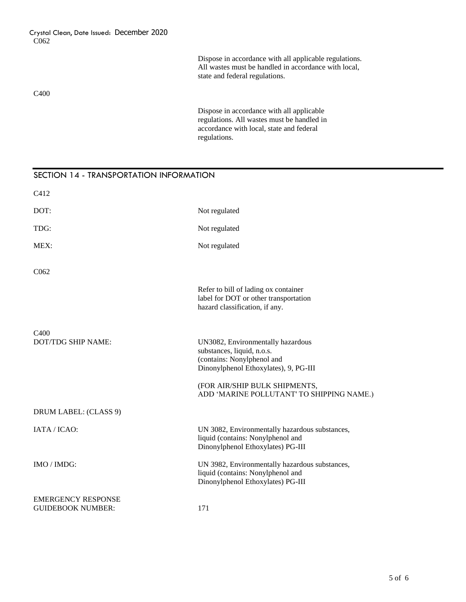Dispose in accordance with all applicable regulations. All wastes must be handled in accordance with local, state and federal regulations.

#### C400

 Dispose in accordance with all applicable accordance with local, state and federal regulations. All wastes must be handled in regulations.

# SECTION 14 - TRANSPORTATION INFORMATION Refer to bill of lading ox container label for DOT or other transportation hazard classification, if any. DOT/TDG SHIP NAME: UN3082, Environmentally hazardous substances, liquid, n.o.s. Dinonylphenol Ethoxylates), 9, PG-III (FOR AIR/SHIP BULK SHIPMENTS, IATA / ICAO: UN 3082, Environmentally hazardous substances, IMO / IMDG: UN 3982, Environmentally hazardous substances, C412 DOT: Not regulated TDG: Not regulated MEX: Not regulated C062 C400 (contains: Nonylphenol and ADD 'MARINE POLLUTANT' TO SHIPPING NAME.) DRUM LABEL: (CLASS 9) liquid (contains: Nonylphenol and Dinonylphenol Ethoxylates) PG-III liquid (contains: Nonylphenol and Dinonylphenol Ethoxylates) PG-III EMERGENCY RESPONSE GUIDEBOOK NUMBER: 171